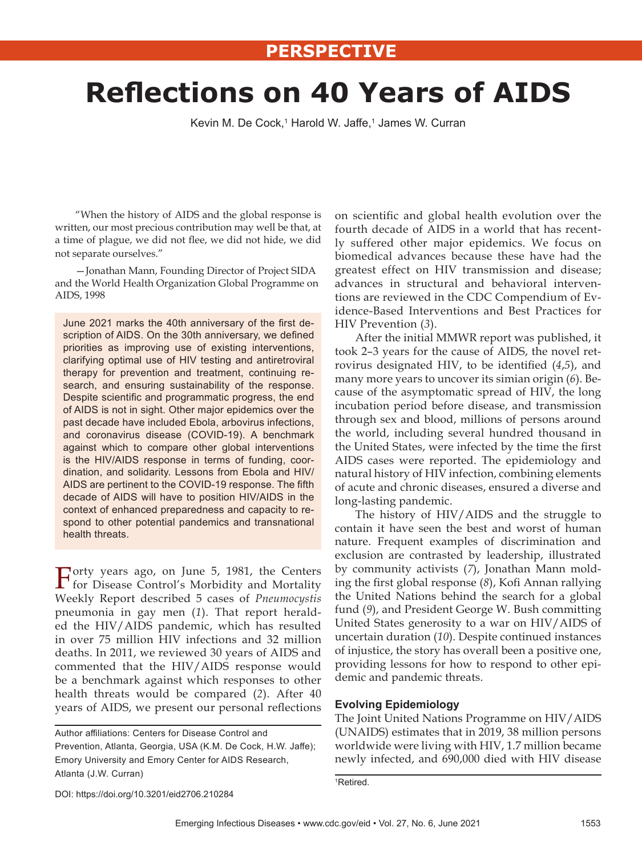# **Refl ections on 40 Years of AIDS**

Kevin M. De Cock,1 Harold W. Jaffe,1 James W. Curran

"When the history of AIDS and the global response is written, our most precious contribution may well be that, at a time of plague, we did not flee, we did not hide, we did not separate ourselves."

—Jonathan Mann, Founding Director of Project SIDA and the World Health Organization Global Programme on AIDS, 1998

June 2021 marks the 40th anniversary of the first description of AIDS. On the 30th anniversary, we defined priorities as improving use of existing interventions, clarifying optimal use of HIV testing and antiretroviral therapy for prevention and treatment, continuing research, and ensuring sustainability of the response. Despite scientific and programmatic progress, the end of AIDS is not in sight. Other major epidemics over the past decade have included Ebola, arbovirus infections, and coronavirus disease (COVID-19). A benchmark against which to compare other global interventions is the HIV/AIDS response in terms of funding, coordination, and solidarity. Lessons from Ebola and HIV/ AIDS are pertinent to the COVID-19 response. The fifth decade of AIDS will have to position HIV/AIDS in the context of enhanced preparedness and capacity to respond to other potential pandemics and transnational health threats.

Forty years ago, on June 5, 1981, the Centers for Disease Control's Morbidity and Mortality Weekly Report described 5 cases of *Pneumocystis* pneumonia in gay men (*1*). That report heralded the HIV/AIDS pandemic, which has resulted in over 75 million HIV infections and 32 million deaths. In 2011, we reviewed 30 years of AIDS and commented that the HIV/AIDS response would be a benchmark against which responses to other health threats would be compared (*2*). After 40 years of AIDS, we present our personal reflections

Author affiliations: Centers for Disease Control and Prevention, Atlanta, Georgia, USA (K.M. De Cock, H.W. Jaffe); Emory University and Emory Center for AIDS Research, Atlanta (J.W. Curran)

on scientific and global health evolution over the fourth decade of AIDS in a world that has recently suffered other major epidemics. We focus on biomedical advances because these have had the greatest effect on HIV transmission and disease; advances in structural and behavioral interventions are reviewed in the CDC Compendium of Evidence-Based Interventions and Best Practices for HIV Prevention (*3*).

After the initial MMWR report was published, it took 2–3 years for the cause of AIDS, the novel retrovirus designated HIV, to be identified  $(4,5)$ , and many more years to uncover its simian origin (*6*). Because of the asymptomatic spread of HIV, the long incubation period before disease, and transmission through sex and blood, millions of persons around the world, including several hundred thousand in the United States, were infected by the time the first AIDS cases were reported. The epidemiology and natural history of HIV infection, combining elements of acute and chronic diseases, ensured a diverse and long-lasting pandemic.

The history of HIV/AIDS and the struggle to contain it have seen the best and worst of human nature. Frequent examples of discrimination and exclusion are contrasted by leadership, illustrated by community activists (*7*), Jonathan Mann molding the first global response (8), Kofi Annan rallying the United Nations behind the search for a global fund (*9*), and President George W. Bush committing United States generosity to a war on HIV/AIDS of uncertain duration (*10*). Despite continued instances of injustice, the story has overall been a positive one, providing lessons for how to respond to other epidemic and pandemic threats.

## **Evolving Epidemiology**

The Joint United Nations Programme on HIV/AIDS (UNAIDS) estimates that in 2019, 38 million persons worldwide were living with HIV, 1.7 million became newly infected, and 690,000 died with HIV disease

1 Retired.

DOI: https://doi.org/10.3201/eid2706.210284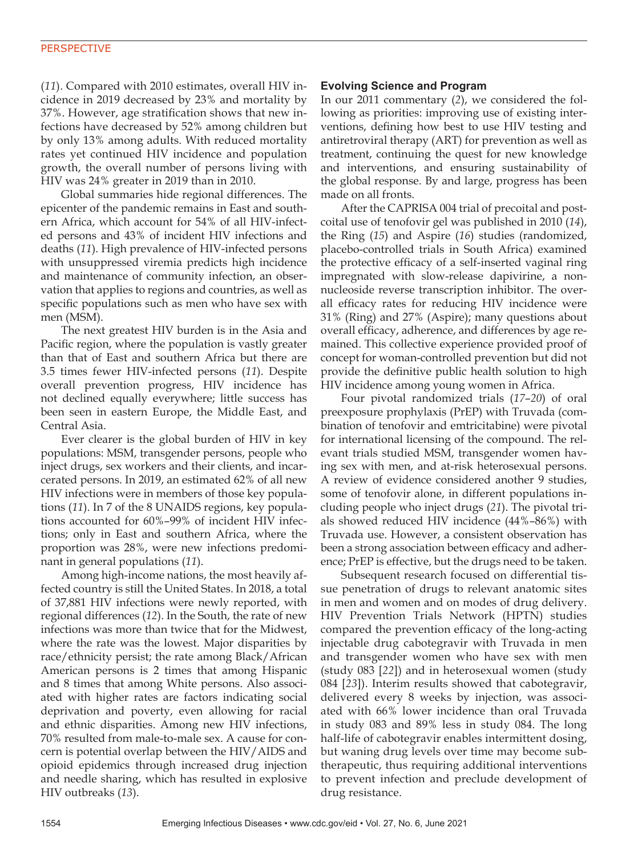(*11*). Compared with 2010 estimates, overall HIV incidence in 2019 decreased by 23% and mortality by 37%. However, age stratification shows that new infections have decreased by 52% among children but by only 13% among adults. With reduced mortality rates yet continued HIV incidence and population growth, the overall number of persons living with HIV was 24% greater in 2019 than in 2010.

Global summaries hide regional differences. The epicenter of the pandemic remains in East and southern Africa, which account for 54% of all HIV-infected persons and 43% of incident HIV infections and deaths (*11*). High prevalence of HIV-infected persons with unsuppressed viremia predicts high incidence and maintenance of community infection, an observation that applies to regions and countries, as well as specific populations such as men who have sex with men (MSM).

The next greatest HIV burden is in the Asia and Pacific region, where the population is vastly greater than that of East and southern Africa but there are 3.5 times fewer HIV-infected persons (*11*). Despite overall prevention progress, HIV incidence has not declined equally everywhere; little success has been seen in eastern Europe, the Middle East, and Central Asia.

Ever clearer is the global burden of HIV in key populations: MSM, transgender persons, people who inject drugs, sex workers and their clients, and incarcerated persons. In 2019, an estimated 62% of all new HIV infections were in members of those key populations (*11*). In 7 of the 8 UNAIDS regions, key populations accounted for 60%–99% of incident HIV infections; only in East and southern Africa, where the proportion was 28%, were new infections predominant in general populations (*11*).

Among high-income nations, the most heavily affected country is still the United States. In 2018, a total of 37,881 HIV infections were newly reported, with regional differences (*12*). In the South, the rate of new infections was more than twice that for the Midwest, where the rate was the lowest. Major disparities by race/ethnicity persist; the rate among Black/African American persons is 2 times that among Hispanic and 8 times that among White persons. Also associated with higher rates are factors indicating social deprivation and poverty, even allowing for racial and ethnic disparities. Among new HIV infections, 70% resulted from male-to-male sex. A cause for concern is potential overlap between the HIV/AIDS and opioid epidemics through increased drug injection and needle sharing, which has resulted in explosive HIV outbreaks (*13*).

# **Evolving Science and Program**

In our 2011 commentary (*2*), we considered the following as priorities: improving use of existing interventions, defining how best to use HIV testing and antiretroviral therapy (ART) for prevention as well as treatment, continuing the quest for new knowledge and interventions, and ensuring sustainability of the global response. By and large, progress has been made on all fronts.

After the CAPRISA 004 trial of precoital and postcoital use of tenofovir gel was published in 2010 (*14*), the Ring (*15*) and Aspire (*16*) studies (randomized, placebo-controlled trials in South Africa) examined the protective efficacy of a self-inserted vaginal ring impregnated with slow-release dapivirine, a nonnucleoside reverse transcription inhibitor. The overall efficacy rates for reducing HIV incidence were 31% (Ring) and 27% (Aspire); many questions about overall efficacy, adherence, and differences by age remained. This collective experience provided proof of concept for woman-controlled prevention but did not provide the definitive public health solution to high HIV incidence among young women in Africa.

Four pivotal randomized trials (*17*–*20*) of oral preexposure prophylaxis (PrEP) with Truvada (combination of tenofovir and emtricitabine) were pivotal for international licensing of the compound. The relevant trials studied MSM, transgender women having sex with men, and at-risk heterosexual persons. A review of evidence considered another 9 studies, some of tenofovir alone, in different populations including people who inject drugs (*21*). The pivotal trials showed reduced HIV incidence (44%–86%) with Truvada use. However, a consistent observation has been a strong association between efficacy and adherence; PrEP is effective, but the drugs need to be taken.

Subsequent research focused on differential tissue penetration of drugs to relevant anatomic sites in men and women and on modes of drug delivery. HIV Prevention Trials Network (HPTN) studies compared the prevention efficacy of the long-acting injectable drug cabotegravir with Truvada in men and transgender women who have sex with men (study 083 [*22*]) and in heterosexual women (study 084 [*23*]). Interim results showed that cabotegravir, delivered every 8 weeks by injection, was associated with 66% lower incidence than oral Truvada in study 083 and 89% less in study 084. The long half-life of cabotegravir enables intermittent dosing, but waning drug levels over time may become subtherapeutic, thus requiring additional interventions to prevent infection and preclude development of drug resistance.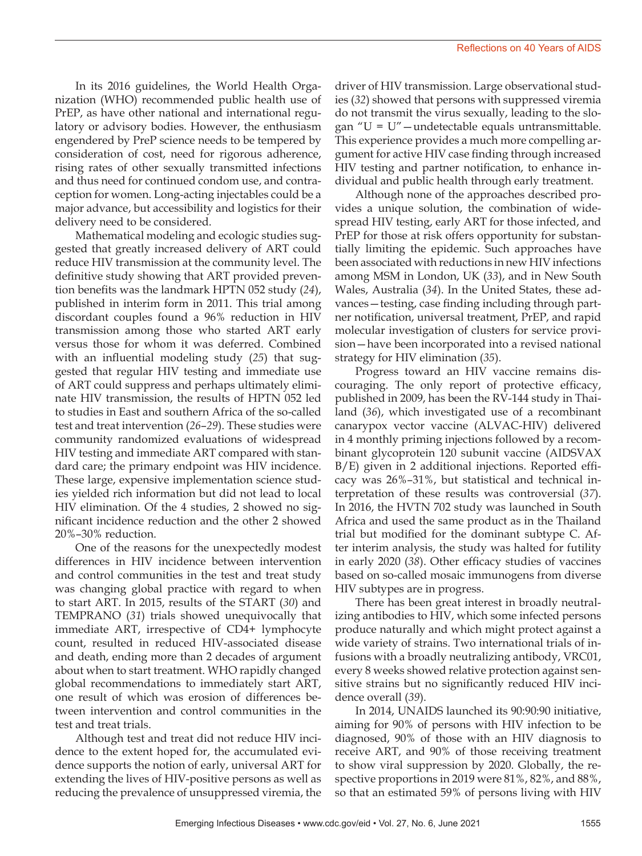In its 2016 guidelines, the World Health Organization (WHO) recommended public health use of PrEP, as have other national and international regulatory or advisory bodies. However, the enthusiasm engendered by PreP science needs to be tempered by consideration of cost, need for rigorous adherence, rising rates of other sexually transmitted infections and thus need for continued condom use, and contraception for women. Long-acting injectables could be a major advance, but accessibility and logistics for their delivery need to be considered.

Mathematical modeling and ecologic studies suggested that greatly increased delivery of ART could reduce HIV transmission at the community level. The definitive study showing that ART provided prevention benefits was the landmark HPTN 052 study (*24*), published in interim form in 2011. This trial among discordant couples found a 96% reduction in HIV transmission among those who started ART early versus those for whom it was deferred. Combined with an influential modeling study (*25*) that suggested that regular HIV testing and immediate use of ART could suppress and perhaps ultimately eliminate HIV transmission, the results of HPTN 052 led to studies in East and southern Africa of the so-called test and treat intervention (*26*–*29*). These studies were community randomized evaluations of widespread HIV testing and immediate ART compared with standard care; the primary endpoint was HIV incidence. These large, expensive implementation science studies yielded rich information but did not lead to local HIV elimination. Of the 4 studies, 2 showed no significant incidence reduction and the other 2 showed 20%–30% reduction.

One of the reasons for the unexpectedly modest differences in HIV incidence between intervention and control communities in the test and treat study was changing global practice with regard to when to start ART. In 2015, results of the START (*30*) and TEMPRANO (*31*) trials showed unequivocally that immediate ART, irrespective of CD4+ lymphocyte count, resulted in reduced HIV-associated disease and death, ending more than 2 decades of argument about when to start treatment. WHO rapidly changed global recommendations to immediately start ART, one result of which was erosion of differences between intervention and control communities in the test and treat trials.

Although test and treat did not reduce HIV incidence to the extent hoped for, the accumulated evidence supports the notion of early, universal ART for extending the lives of HIV-positive persons as well as reducing the prevalence of unsuppressed viremia, the

driver of HIV transmission. Large observational studies (*32*) showed that persons with suppressed viremia do not transmit the virus sexually, leading to the slogan "U = U"—undetectable equals untransmittable. This experience provides a much more compelling argument for active HIV case finding through increased HIV testing and partner notification, to enhance individual and public health through early treatment.

Although none of the approaches described provides a unique solution, the combination of widespread HIV testing, early ART for those infected, and PrEP for those at risk offers opportunity for substantially limiting the epidemic. Such approaches have been associated with reductions in new HIV infections among MSM in London, UK (*33*), and in New South Wales, Australia (*34*). In the United States, these advances—testing, case finding including through partner notification, universal treatment, PrEP, and rapid molecular investigation of clusters for service provision—have been incorporated into a revised national strategy for HIV elimination (*35*).

Progress toward an HIV vaccine remains discouraging. The only report of protective efficacy, published in 2009, has been the RV-144 study in Thailand (*36*), which investigated use of a recombinant canarypox vector vaccine (ALVAC-HIV) delivered in 4 monthly priming injections followed by a recombinant glycoprotein 120 subunit vaccine (AIDSVAX B/E) given in 2 additional injections. Reported efficacy was 26%–31%, but statistical and technical interpretation of these results was controversial (*37*). In 2016, the HVTN 702 study was launched in South Africa and used the same product as in the Thailand trial but modified for the dominant subtype C. After interim analysis, the study was halted for futility in early 2020 (*38*). Other efficacy studies of vaccines based on so-called mosaic immunogens from diverse HIV subtypes are in progress.

There has been great interest in broadly neutralizing antibodies to HIV, which some infected persons produce naturally and which might protect against a wide variety of strains. Two international trials of infusions with a broadly neutralizing antibody, VRC01, every 8 weeks showed relative protection against sensitive strains but no significantly reduced HIV incidence overall (*39*).

In 2014, UNAIDS launched its 90:90:90 initiative, aiming for 90% of persons with HIV infection to be diagnosed, 90% of those with an HIV diagnosis to receive ART, and 90% of those receiving treatment to show viral suppression by 2020. Globally, the respective proportions in 2019 were 81%, 82%, and 88%, so that an estimated 59% of persons living with HIV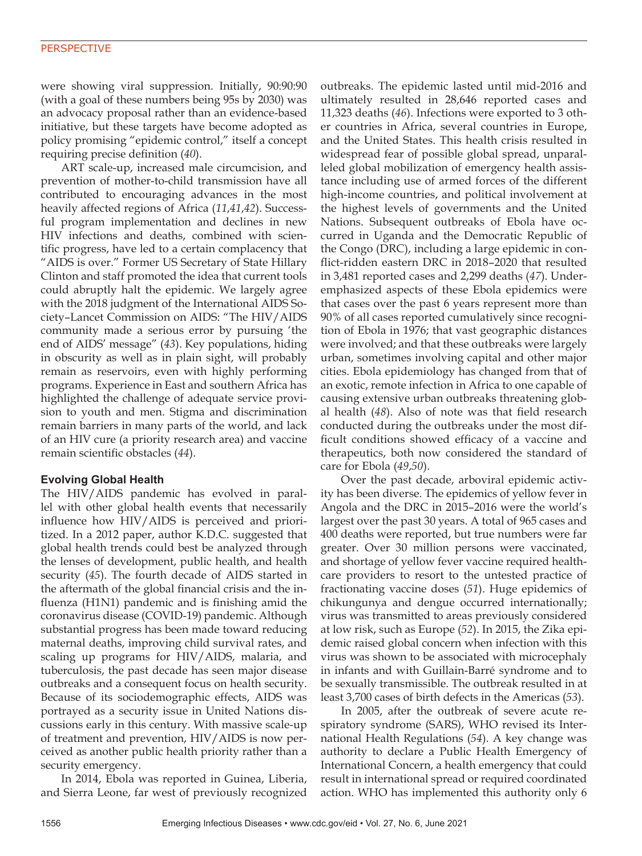## **PERSPECTIVE**

were showing viral suppression. Initially, 90:90:90 (with a goal of these numbers being 95s by 2030) was an advocacy proposal rather than an evidence-based initiative, but these targets have become adopted as policy promising "epidemic control," itself a concept requiring precise definition (*40*).

ART scale-up, increased male circumcision, and prevention of mother-to-child transmission have all contributed to encouraging advances in the most heavily affected regions of Africa (*11*,*41*,*42*). Successful program implementation and declines in new HIV infections and deaths, combined with scientific progress, have led to a certain complacency that "AIDS is over." Former US Secretary of State Hillary Clinton and staff promoted the idea that current tools could abruptly halt the epidemic. We largely agree with the 2018 judgment of the International AIDS Society–Lancet Commission on AIDS: "The HIV/AIDS community made a serious error by pursuing 'the end of AIDS' message" (*43*). Key populations, hiding in obscurity as well as in plain sight, will probably remain as reservoirs, even with highly performing programs. Experience in East and southern Africa has highlighted the challenge of adequate service provision to youth and men. Stigma and discrimination remain barriers in many parts of the world, and lack of an HIV cure (a priority research area) and vaccine remain scientific obstacles (*44*).

## **Evolving Global Health**

The HIV/AIDS pandemic has evolved in parallel with other global health events that necessarily influence how HIV/AIDS is perceived and prioritized. In a 2012 paper, author K.D.C. suggested that global health trends could best be analyzed through the lenses of development, public health, and health security (*45*). The fourth decade of AIDS started in the aftermath of the global financial crisis and the influenza (H1N1) pandemic and is finishing amid the coronavirus disease (COVID-19) pandemic. Although substantial progress has been made toward reducing maternal deaths, improving child survival rates, and scaling up programs for HIV/AIDS, malaria, and tuberculosis, the past decade has seen major disease outbreaks and a consequent focus on health security. Because of its sociodemographic effects, AIDS was portrayed as a security issue in United Nations discussions early in this century. With massive scale-up of treatment and prevention, HIV/AIDS is now perceived as another public health priority rather than a security emergency.

In 2014, Ebola was reported in Guinea, Liberia, and Sierra Leone, far west of previously recognized outbreaks. The epidemic lasted until mid-2016 and ultimately resulted in 28,646 reported cases and 11,323 deaths (*46*). Infections were exported to 3 other countries in Africa, several countries in Europe, and the United States. This health crisis resulted in widespread fear of possible global spread, unparalleled global mobilization of emergency health assistance including use of armed forces of the different high-income countries, and political involvement at the highest levels of governments and the United Nations. Subsequent outbreaks of Ebola have occurred in Uganda and the Democratic Republic of the Congo (DRC), including a large epidemic in conflict-ridden eastern DRC in 2018–2020 that resulted in 3,481 reported cases and 2,299 deaths (*47*). Underemphasized aspects of these Ebola epidemics were that cases over the past 6 years represent more than 90% of all cases reported cumulatively since recognition of Ebola in 1976; that vast geographic distances were involved; and that these outbreaks were largely urban, sometimes involving capital and other major cities. Ebola epidemiology has changed from that of an exotic, remote infection in Africa to one capable of causing extensive urban outbreaks threatening global health (*48*). Also of note was that field research conducted during the outbreaks under the most difficult conditions showed efficacy of a vaccine and therapeutics, both now considered the standard of care for Ebola (*49*,*50*).

Over the past decade, arboviral epidemic activity has been diverse. The epidemics of yellow fever in Angola and the DRC in 2015–2016 were the world's largest over the past 30 years. A total of 965 cases and 400 deaths were reported, but true numbers were far greater. Over 30 million persons were vaccinated, and shortage of yellow fever vaccine required healthcare providers to resort to the untested practice of fractionating vaccine doses (*51*). Huge epidemics of chikungunya and dengue occurred internationally; virus was transmitted to areas previously considered at low risk, such as Europe (*52*). In 2015, the Zika epidemic raised global concern when infection with this virus was shown to be associated with microcephaly in infants and with Guillain-Barré syndrome and to be sexually transmissible. The outbreak resulted in at least 3,700 cases of birth defects in the Americas (*53*).

In 2005, after the outbreak of severe acute respiratory syndrome (SARS), WHO revised its International Health Regulations (*54*). A key change was authority to declare a Public Health Emergency of International Concern, a health emergency that could result in international spread or required coordinated action. WHO has implemented this authority only 6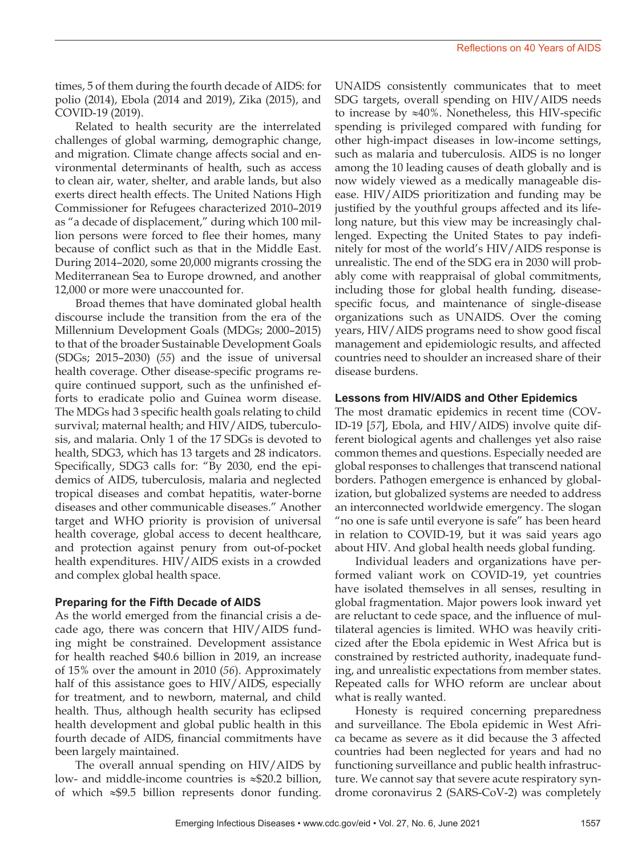times, 5 of them during the fourth decade of AIDS: for polio (2014), Ebola (2014 and 2019), Zika (2015), and COVID-19 (2019).

Related to health security are the interrelated challenges of global warming, demographic change, and migration. Climate change affects social and environmental determinants of health, such as access to clean air, water, shelter, and arable lands, but also exerts direct health effects. The United Nations High Commissioner for Refugees characterized 2010–2019 as "a decade of displacement," during which 100 million persons were forced to flee their homes, many because of conflict such as that in the Middle East. During 2014–2020, some 20,000 migrants crossing the Mediterranean Sea to Europe drowned, and another 12,000 or more were unaccounted for.

Broad themes that have dominated global health discourse include the transition from the era of the Millennium Development Goals (MDGs; 2000–2015) to that of the broader Sustainable Development Goals (SDGs; 2015–2030) (*55*) and the issue of universal health coverage. Other disease-specific programs require continued support, such as the unfinished efforts to eradicate polio and Guinea worm disease. The MDGs had 3 specific health goals relating to child survival; maternal health; and HIV/AIDS, tuberculosis, and malaria. Only 1 of the 17 SDGs is devoted to health, SDG3, which has 13 targets and 28 indicators. Specifically, SDG3 calls for: "By 2030, end the epidemics of AIDS, tuberculosis, malaria and neglected tropical diseases and combat hepatitis, water-borne diseases and other communicable diseases." Another target and WHO priority is provision of universal health coverage, global access to decent healthcare, and protection against penury from out-of-pocket health expenditures. HIV/AIDS exists in a crowded and complex global health space.

# **Preparing for the Fifth Decade of AIDS**

As the world emerged from the financial crisis a decade ago, there was concern that HIV/AIDS funding might be constrained. Development assistance for health reached \$40.6 billion in 2019, an increase of 15% over the amount in 2010 (*56*). Approximately half of this assistance goes to HIV/AIDS, especially for treatment, and to newborn, maternal, and child health. Thus, although health security has eclipsed health development and global public health in this fourth decade of AIDS, financial commitments have been largely maintained.

The overall annual spending on HIV/AIDS by low- and middle-income countries is ≈\$20.2 billion, of which ≈\$9.5 billion represents donor funding.

UNAIDS consistently communicates that to meet SDG targets, overall spending on HIV/AIDS needs to increase by ≈40%. Nonetheless, this HIV-specific spending is privileged compared with funding for other high-impact diseases in low-income settings, such as malaria and tuberculosis. AIDS is no longer among the 10 leading causes of death globally and is now widely viewed as a medically manageable disease. HIV/AIDS prioritization and funding may be justified by the youthful groups affected and its lifelong nature, but this view may be increasingly challenged. Expecting the United States to pay indefinitely for most of the world's HIV/AIDS response is unrealistic. The end of the SDG era in 2030 will probably come with reappraisal of global commitments, including those for global health funding, diseasespecific focus, and maintenance of single-disease organizations such as UNAIDS. Over the coming years, HIV/AIDS programs need to show good fiscal management and epidemiologic results, and affected countries need to shoulder an increased share of their disease burdens.

#### **Lessons from HIV/AIDS and Other Epidemics**

The most dramatic epidemics in recent time (COV-ID-19 [*57*], Ebola, and HIV/AIDS) involve quite different biological agents and challenges yet also raise common themes and questions. Especially needed are global responses to challenges that transcend national borders. Pathogen emergence is enhanced by globalization, but globalized systems are needed to address an interconnected worldwide emergency. The slogan "no one is safe until everyone is safe" has been heard in relation to COVID-19, but it was said years ago about HIV. And global health needs global funding.

Individual leaders and organizations have performed valiant work on COVID-19, yet countries have isolated themselves in all senses, resulting in global fragmentation. Major powers look inward yet are reluctant to cede space, and the influence of multilateral agencies is limited. WHO was heavily criticized after the Ebola epidemic in West Africa but is constrained by restricted authority, inadequate funding, and unrealistic expectations from member states. Repeated calls for WHO reform are unclear about what is really wanted.

Honesty is required concerning preparedness and surveillance. The Ebola epidemic in West Africa became as severe as it did because the 3 affected countries had been neglected for years and had no functioning surveillance and public health infrastructure. We cannot say that severe acute respiratory syndrome coronavirus 2 (SARS-CoV-2) was completely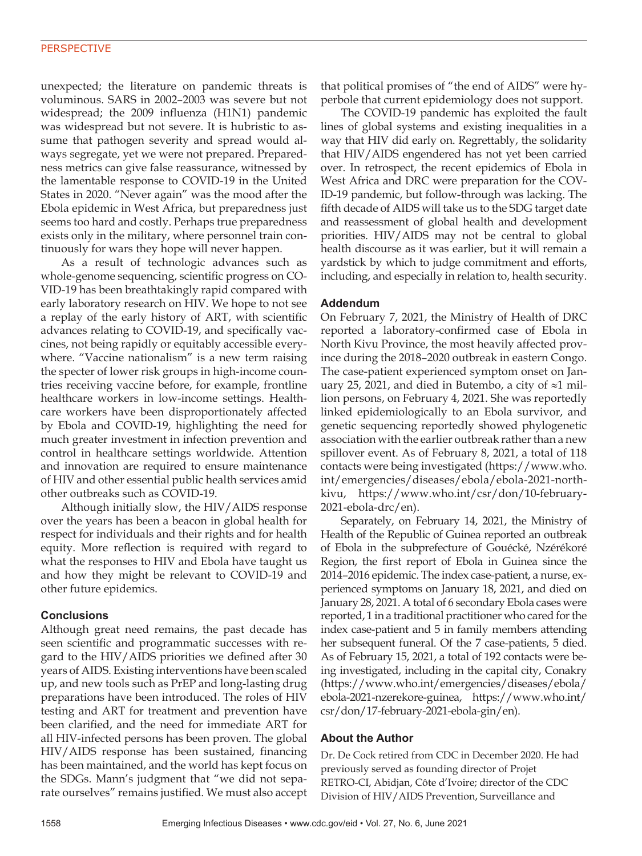# **PERSPECTIVE**

unexpected; the literature on pandemic threats is voluminous. SARS in 2002–2003 was severe but not widespread; the 2009 influenza (H1N1) pandemic was widespread but not severe. It is hubristic to assume that pathogen severity and spread would always segregate, yet we were not prepared. Preparedness metrics can give false reassurance, witnessed by the lamentable response to COVID-19 in the United States in 2020. "Never again" was the mood after the Ebola epidemic in West Africa, but preparedness just seems too hard and costly. Perhaps true preparedness exists only in the military, where personnel train continuously for wars they hope will never happen.

As a result of technologic advances such as whole-genome sequencing, scientific progress on CO-VID-19 has been breathtakingly rapid compared with early laboratory research on HIV. We hope to not see a replay of the early history of ART, with scientific advances relating to COVID-19, and specifically vaccines, not being rapidly or equitably accessible everywhere. "Vaccine nationalism" is a new term raising the specter of lower risk groups in high-income countries receiving vaccine before, for example, frontline healthcare workers in low-income settings. Healthcare workers have been disproportionately affected by Ebola and COVID-19, highlighting the need for much greater investment in infection prevention and control in healthcare settings worldwide. Attention and innovation are required to ensure maintenance of HIV and other essential public health services amid other outbreaks such as COVID-19.

Although initially slow, the HIV/AIDS response over the years has been a beacon in global health for respect for individuals and their rights and for health equity. More reflection is required with regard to what the responses to HIV and Ebola have taught us and how they might be relevant to COVID-19 and other future epidemics.

#### **Conclusions**

Although great need remains, the past decade has seen scientific and programmatic successes with regard to the HIV/AIDS priorities we defined after 30 years of AIDS. Existing interventions have been scaled up, and new tools such as PrEP and long-lasting drug preparations have been introduced. The roles of HIV testing and ART for treatment and prevention have been clarified, and the need for immediate ART for all HIV-infected persons has been proven. The global HIV/AIDS response has been sustained, financing has been maintained, and the world has kept focus on the SDGs. Mann's judgment that "we did not separate ourselves" remains justified. We must also accept that political promises of "the end of AIDS" were hyperbole that current epidemiology does not support.

The COVID-19 pandemic has exploited the fault lines of global systems and existing inequalities in a way that HIV did early on. Regrettably, the solidarity that HIV/AIDS engendered has not yet been carried over. In retrospect, the recent epidemics of Ebola in West Africa and DRC were preparation for the COV-ID-19 pandemic, but follow-through was lacking. The fifth decade of AIDS will take us to the SDG target date and reassessment of global health and development priorities. HIV/AIDS may not be central to global health discourse as it was earlier, but it will remain a yardstick by which to judge commitment and efforts, including, and especially in relation to, health security.

## **Addendum**

On February 7, 2021, the Ministry of Health of DRC reported a laboratory-confirmed case of Ebola in North Kivu Province, the most heavily affected province during the 2018–2020 outbreak in eastern Congo. The case-patient experienced symptom onset on January 25, 2021, and died in Butembo, a city of ≈1 million persons, on February 4, 2021. She was reportedly linked epidemiologically to an Ebola survivor, and genetic sequencing reportedly showed phylogenetic association with the earlier outbreak rather than a new spillover event. As of February 8, 2021, a total of 118 contacts were being investigated (https://www.who. int/emergencies/diseases/ebola/ebola-2021-northkivu, https://www.who.int/csr/don/10-february-2021-ebola-drc/en).

Separately, on February 14, 2021, the Ministry of Health of the Republic of Guinea reported an outbreak of Ebola in the subprefecture of Gouécké, Nzérékoré Region, the first report of Ebola in Guinea since the 2014–2016 epidemic. The index case-patient, a nurse, experienced symptoms on January 18, 2021, and died on January 28, 2021. A total of 6 secondary Ebola cases were reported, 1 in a traditional practitioner who cared for the index case-patient and 5 in family members attending her subsequent funeral. Of the 7 case-patients, 5 died. As of February 15, 2021, a total of 192 contacts were being investigated, including in the capital city, Conakry (https://www.who.int/emergencies/diseases/ebola/ ebola-2021-nzerekore-guinea, https://www.who.int/ csr/don/17-february-2021-ebola-gin/en).

#### **About the Author**

Dr. De Cock retired from CDC in December 2020. He had previously served as founding director of Projet RETRO-CI, Abidjan, Côte d'Ivoire; director of the CDC Division of HIV/AIDS Prevention, Surveillance and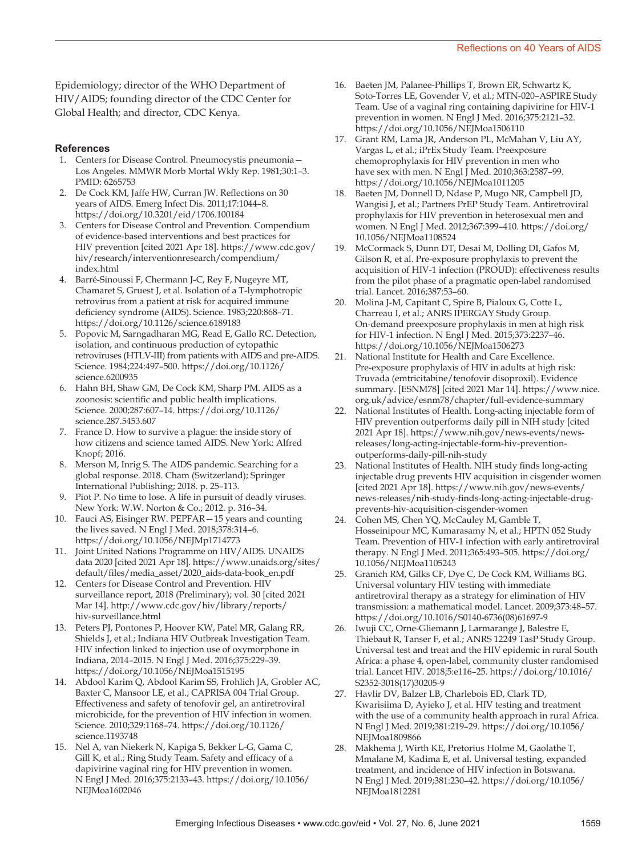Epidemiology; director of the WHO Department of HIV/AIDS; founding director of the CDC Center for Global Health; and director, CDC Kenya.

### **References**

- 1. Centers for Disease Control. Pneumocystis pneumonia— Los Angeles. MMWR Morb Mortal Wkly Rep. 1981;30:1–3. PMID: 6265753
- 2. De Cock KM, Jaffe HW, Curran JW. Reflections on 30 years of AIDS. Emerg Infect Dis. 2011;17:1044–8. https://doi.org/10.3201/eid/1706.100184
- 3. Centers for Disease Control and Prevention. Compendium of evidence-based interventions and best practices for HIV prevention [cited 2021 Apr 18]. https://www.cdc.gov/ hiv/research/interventionresearch/compendium/ index.html
- Barré-Sinoussi F, Chermann J-C, Rey F, Nugeyre MT, Chamaret S, Gruest J, et al. Isolation of a T-lymphotropic retrovirus from a patient at risk for acquired immune deficiency syndrome (AIDS). Science. 1983;220:868–71. https://doi.org/10.1126/science.6189183
- 5. Popovic M, Sarngadharan MG, Read E, Gallo RC. Detection, isolation, and continuous production of cytopathic retroviruses (HTLV-III) from patients with AIDS and pre-AIDS. Science. 1984;224:497–500. https://doi.org/10.1126/ science.6200935
- 6. Hahn BH, Shaw GM, De Cock KM, Sharp PM. AIDS as a zoonosis: scientific and public health implications. Science. 2000;287:607–14. https://doi.org/10.1126/ science.287.5453.607
- 7. France D. How to survive a plague: the inside story of how citizens and science tamed AIDS. New York: Alfred Knopf; 2016.
- 8. Merson M, Inrig S. The AIDS pandemic. Searching for a global response. 2018. Cham (Switzerland); Springer International Publishing; 2018. p. 25–113.
- 9. Piot P. No time to lose. A life in pursuit of deadly viruses. New York: W.W. Norton & Co.; 2012. p. 316–34.
- 10. Fauci AS, Eisinger RW. PEPFAR—15 years and counting the lives saved. N Engl J Med. 2018;378:314–6. https://doi.org/10.1056/NEJMp1714773
- 11. Joint United Nations Programme on HIV/AIDS. UNAIDS data 2020 [cited 2021 Apr 18]. https://www.unaids.org/sites/ default/files/media\_asset/2020\_aids-data-book\_en.pdf
- 12. Centers for Disease Control and Prevention. HIV surveillance report, 2018 (Preliminary); vol. 30 [cited 2021 Mar 14]. http://www.cdc.gov/hiv/library/reports/ hiv-surveillance.html
- 13. Peters PJ, Pontones P, Hoover KW, Patel MR, Galang RR, Shields J, et al.; Indiana HIV Outbreak Investigation Team. HIV infection linked to injection use of oxymorphone in Indiana, 2014–2015. N Engl J Med. 2016;375:229–39. https://doi.org/10.1056/NEJMoa1515195
- 14. Abdool Karim Q, Abdool Karim SS, Frohlich JA, Grobler AC, Baxter C, Mansoor LE, et al.; CAPRISA 004 Trial Group. Effectiveness and safety of tenofovir gel, an antiretroviral microbicide, for the prevention of HIV infection in women. Science. 2010;329:1168–74. https://doi.org/10.1126/ science.1193748
- 15. Nel A, van Niekerk N, Kapiga S, Bekker L-G, Gama C, Gill K, et al.; Ring Study Team. Safety and efficacy of a dapivirine vaginal ring for HIV prevention in women. N Engl J Med. 2016;375:2133–43. https://doi.org/10.1056/ NEJMoa1602046
- 16. Baeten JM, Palanee-Phillips T, Brown ER, Schwartz K, Soto-Torres LE, Govender V, et al.; MTN-020–ASPIRE Study Team. Use of a vaginal ring containing dapivirine for HIV-1 prevention in women. N Engl J Med. 2016;375:2121–32. https://doi.org/10.1056/NEJMoa1506110
- 17. Grant RM, Lama JR, Anderson PL, McMahan V, Liu AY, Vargas L, et al.; iPrEx Study Team. Preexposure chemoprophylaxis for HIV prevention in men who have sex with men. N Engl J Med. 2010;363:2587-99. https://doi.org/10.1056/NEJMoa1011205
- 18. Baeten JM, Donnell D, Ndase P, Mugo NR, Campbell JD, Wangisi J, et al.; Partners PrEP Study Team. Antiretroviral prophylaxis for HIV prevention in heterosexual men and women. N Engl J Med. 2012;367:399–410. https://doi.org/ 10.1056/NEJMoa1108524
- 19. McCormack S, Dunn DT, Desai M, Dolling DI, Gafos M, Gilson R, et al. Pre-exposure prophylaxis to prevent the acquisition of HIV-1 infection (PROUD): effectiveness results from the pilot phase of a pragmatic open-label randomised trial. Lancet. 2016;387:53–60.
- 20. Molina J-M, Capitant C, Spire B, Pialoux G, Cotte L, Charreau I, et al.; ANRS IPERGAY Study Group. On-demand preexposure prophylaxis in men at high risk for HIV-1 infection. N Engl J Med. 2015;373:2237–46. https://doi.org/10.1056/NEJMoa1506273
- 21. National Institute for Health and Care Excellence. Pre-exposure prophylaxis of HIV in adults at high risk: Truvada (emtricitabine/tenofovir disoproxil). Evidence summary. [ESNM78] [cited 2021 Mar 14]. https://www.nice. org.uk/advice/esnm78/chapter/full-evidence-summary
- 22. National Institutes of Health. Long-acting injectable form of HIV prevention outperforms daily pill in NIH study [cited 2021 Apr 18]. https://www.nih.gov/news-events/newsreleases/long-acting-injectable-form-hiv-preventionoutperforms-daily-pill-nih-study
- 23. National Institutes of Health. NIH study finds long-acting injectable drug prevents HIV acquisition in cisgender women [cited 2021 Apr 18]. https://www.nih.gov/news-events/ news-releases/nih-study-finds-long-acting-injectable-drugprevents-hiv-acquisition-cisgender-women
- 24. Cohen MS, Chen YQ, McCauley M, Gamble T, Hosseinipour MC, Kumarasamy N, et al.; HPTN 052 Study Team. Prevention of HIV-1 infection with early antiretroviral therapy. N Engl J Med. 2011;365:493–505. https://doi.org/ 10.1056/NEJMoa1105243
- 25. Granich RM, Gilks CF, Dye C, De Cock KM, Williams BG. Universal voluntary HIV testing with immediate antiretroviral therapy as a strategy for elimination of HIV transmission: a mathematical model. Lancet. 2009;373:48–57. https://doi.org/10.1016/S0140-6736(08)61697-9
- 26. Iwuji CC, Orne-Gliemann J, Larmarange J, Balestre E, Thiebaut R, Tanser F, et al.; ANRS 12249 TasP Study Group. Universal test and treat and the HIV epidemic in rural South Africa: a phase 4, open-label, community cluster randomised trial. Lancet HIV. 2018;5:e116–25. https://doi.org/10.1016/ S2352-3018(17)30205-9
- 27. Havlir DV, Balzer LB, Charlebois ED, Clark TD, Kwarisiima D, Ayieko J, et al. HIV testing and treatment with the use of a community health approach in rural Africa. N Engl J Med. 2019;381:219–29. https://doi.org/10.1056/ NEJMoa1809866
- 28. Makhema J, Wirth KE, Pretorius Holme M, Gaolathe T, Mmalane M, Kadima E, et al. Universal testing, expanded treatment, and incidence of HIV infection in Botswana. N Engl J Med. 2019;381:230–42. https://doi.org/10.1056/ NEJMoa1812281